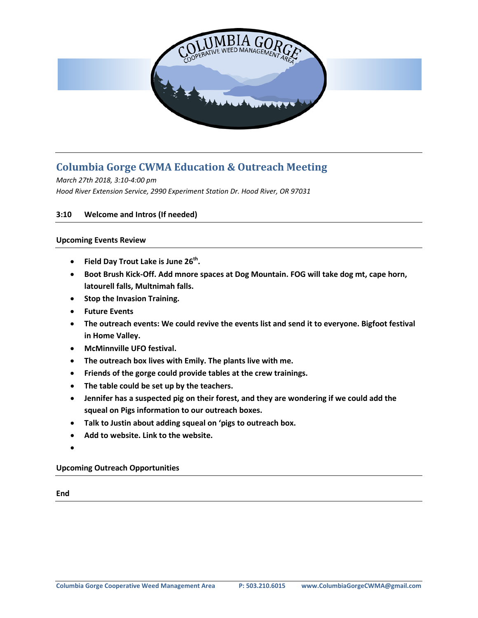

## **Columbia Gorge CWMA Education & Outreach Meeting**

*March 27th 2018, 3:10-4:00 pm Hood River Extension Service, 2990 Experiment Station Dr. Hood River, OR 97031*

## **3:10 Welcome and Intros (If needed)**

## **Upcoming Events Review**

- **Field Day Trout Lake is June 26<sup>th</sup>.**
- **Boot Brush Kick-Off. Add mnore spaces at Dog Mountain. FOG will take dog mt, cape horn, latourell falls, Multnimah falls.**
- **Stop the Invasion Training.**
- **Future Events**
- **The outreach events: We could revive the events list and send it to everyone. Bigfoot festival in Home Valley.**
- **McMinnville UFO festival.**
- **The outreach box lives with Emily. The plants live with me.**
- **Friends of the gorge could provide tables at the crew trainings.**
- **The table could be set up by the teachers.**
- **Jennifer has a suspected pig on their forest, and they are wondering if we could add the squeal on Pigs information to our outreach boxes.**
- **Talk to Justin about adding squeal on 'pigs to outreach box.**
- **Add to website. Link to the website.**
- •

**Upcoming Outreach Opportunities**

**End**